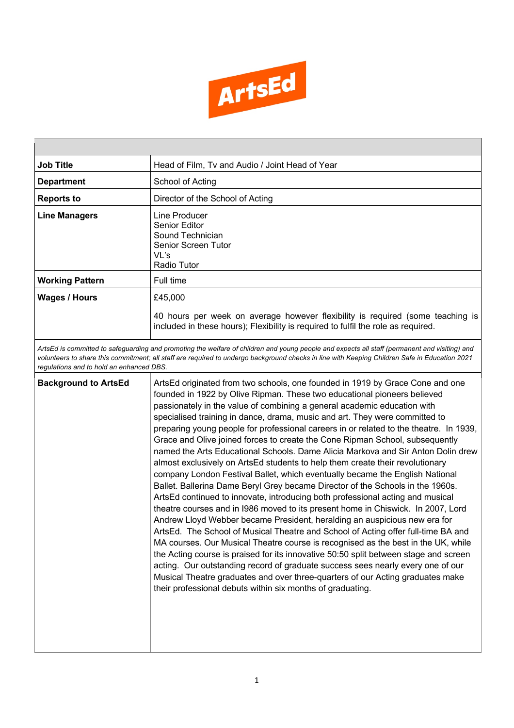

| <b>Job Title</b>                                                                                                                                                                                                                                                                                                                           | Head of Film, Tv and Audio / Joint Head of Year                                                                                                                                                                                                                                                                                                                                                                                                                                                                                                                                                                                                                                                                                                                                                                                                                                                                                                                                                                                                                                                                                                                                                                                                                                                                                                                                                                                                                                                                                                                                               |  |  |  |
|--------------------------------------------------------------------------------------------------------------------------------------------------------------------------------------------------------------------------------------------------------------------------------------------------------------------------------------------|-----------------------------------------------------------------------------------------------------------------------------------------------------------------------------------------------------------------------------------------------------------------------------------------------------------------------------------------------------------------------------------------------------------------------------------------------------------------------------------------------------------------------------------------------------------------------------------------------------------------------------------------------------------------------------------------------------------------------------------------------------------------------------------------------------------------------------------------------------------------------------------------------------------------------------------------------------------------------------------------------------------------------------------------------------------------------------------------------------------------------------------------------------------------------------------------------------------------------------------------------------------------------------------------------------------------------------------------------------------------------------------------------------------------------------------------------------------------------------------------------------------------------------------------------------------------------------------------------|--|--|--|
| <b>Department</b>                                                                                                                                                                                                                                                                                                                          | School of Acting                                                                                                                                                                                                                                                                                                                                                                                                                                                                                                                                                                                                                                                                                                                                                                                                                                                                                                                                                                                                                                                                                                                                                                                                                                                                                                                                                                                                                                                                                                                                                                              |  |  |  |
| <b>Reports to</b>                                                                                                                                                                                                                                                                                                                          | Director of the School of Acting                                                                                                                                                                                                                                                                                                                                                                                                                                                                                                                                                                                                                                                                                                                                                                                                                                                                                                                                                                                                                                                                                                                                                                                                                                                                                                                                                                                                                                                                                                                                                              |  |  |  |
| <b>Line Managers</b>                                                                                                                                                                                                                                                                                                                       | Line Producer<br><b>Senior Editor</b><br>Sound Technician<br><b>Senior Screen Tutor</b><br>VL's<br>Radio Tutor                                                                                                                                                                                                                                                                                                                                                                                                                                                                                                                                                                                                                                                                                                                                                                                                                                                                                                                                                                                                                                                                                                                                                                                                                                                                                                                                                                                                                                                                                |  |  |  |
| <b>Working Pattern</b>                                                                                                                                                                                                                                                                                                                     | Full time                                                                                                                                                                                                                                                                                                                                                                                                                                                                                                                                                                                                                                                                                                                                                                                                                                                                                                                                                                                                                                                                                                                                                                                                                                                                                                                                                                                                                                                                                                                                                                                     |  |  |  |
| <b>Wages / Hours</b>                                                                                                                                                                                                                                                                                                                       | £45,000                                                                                                                                                                                                                                                                                                                                                                                                                                                                                                                                                                                                                                                                                                                                                                                                                                                                                                                                                                                                                                                                                                                                                                                                                                                                                                                                                                                                                                                                                                                                                                                       |  |  |  |
|                                                                                                                                                                                                                                                                                                                                            | 40 hours per week on average however flexibility is required (some teaching is<br>included in these hours); Flexibility is required to fulfil the role as required.                                                                                                                                                                                                                                                                                                                                                                                                                                                                                                                                                                                                                                                                                                                                                                                                                                                                                                                                                                                                                                                                                                                                                                                                                                                                                                                                                                                                                           |  |  |  |
| ArtsEd is committed to safeguarding and promoting the welfare of children and young people and expects all staff (permanent and visiting) and<br>volunteers to share this commitment; all staff are required to undergo background checks in line with Keeping Children Safe in Education 2021<br>regulations and to hold an enhanced DBS. |                                                                                                                                                                                                                                                                                                                                                                                                                                                                                                                                                                                                                                                                                                                                                                                                                                                                                                                                                                                                                                                                                                                                                                                                                                                                                                                                                                                                                                                                                                                                                                                               |  |  |  |
| <b>Background to ArtsEd</b>                                                                                                                                                                                                                                                                                                                | ArtsEd originated from two schools, one founded in 1919 by Grace Cone and one<br>founded in 1922 by Olive Ripman. These two educational pioneers believed<br>passionately in the value of combining a general academic education with<br>specialised training in dance, drama, music and art. They were committed to<br>preparing young people for professional careers in or related to the theatre. In 1939,<br>Grace and Olive joined forces to create the Cone Ripman School, subsequently<br>named the Arts Educational Schools. Dame Alicia Markova and Sir Anton Dolin drew<br>almost exclusively on ArtsEd students to help them create their revolutionary<br>company London Festival Ballet, which eventually became the English National<br>Ballet. Ballerina Dame Beryl Grey became Director of the Schools in the 1960s.<br>ArtsEd continued to innovate, introducing both professional acting and musical<br>theatre courses and in 1986 moved to its present home in Chiswick. In 2007, Lord<br>Andrew Lloyd Webber became President, heralding an auspicious new era for<br>ArtsEd. The School of Musical Theatre and School of Acting offer full-time BA and<br>MA courses. Our Musical Theatre course is recognised as the best in the UK, while<br>the Acting course is praised for its innovative 50:50 split between stage and screen<br>acting. Our outstanding record of graduate success sees nearly every one of our<br>Musical Theatre graduates and over three-quarters of our Acting graduates make<br>their professional debuts within six months of graduating. |  |  |  |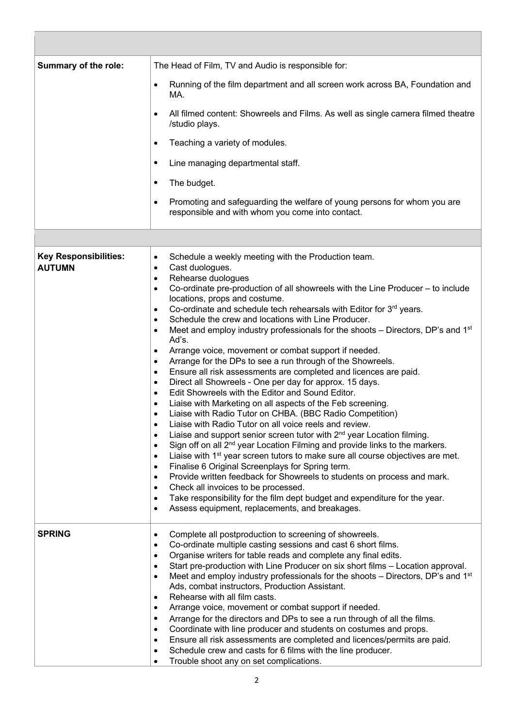| Summary of the role:                          | The Head of Film, TV and Audio is responsible for:                                                                                                                                                                                                                                                                                                                                                                                                                                                                                                                                                                                                                                                                                                                                                                                                                                                                                                                                                                                                                                                                                                                                                                                                                                                                                                                                                                                                                                                                                                                                                                                                                                                                                                                                     |  |  |  |
|-----------------------------------------------|----------------------------------------------------------------------------------------------------------------------------------------------------------------------------------------------------------------------------------------------------------------------------------------------------------------------------------------------------------------------------------------------------------------------------------------------------------------------------------------------------------------------------------------------------------------------------------------------------------------------------------------------------------------------------------------------------------------------------------------------------------------------------------------------------------------------------------------------------------------------------------------------------------------------------------------------------------------------------------------------------------------------------------------------------------------------------------------------------------------------------------------------------------------------------------------------------------------------------------------------------------------------------------------------------------------------------------------------------------------------------------------------------------------------------------------------------------------------------------------------------------------------------------------------------------------------------------------------------------------------------------------------------------------------------------------------------------------------------------------------------------------------------------------|--|--|--|
|                                               | Running of the film department and all screen work across BA, Foundation and<br>$\bullet$<br>MA.                                                                                                                                                                                                                                                                                                                                                                                                                                                                                                                                                                                                                                                                                                                                                                                                                                                                                                                                                                                                                                                                                                                                                                                                                                                                                                                                                                                                                                                                                                                                                                                                                                                                                       |  |  |  |
|                                               | All filmed content: Showreels and Films. As well as single camera filmed theatre<br>$\bullet$<br>/studio plays.                                                                                                                                                                                                                                                                                                                                                                                                                                                                                                                                                                                                                                                                                                                                                                                                                                                                                                                                                                                                                                                                                                                                                                                                                                                                                                                                                                                                                                                                                                                                                                                                                                                                        |  |  |  |
|                                               | Teaching a variety of modules.<br>$\bullet$                                                                                                                                                                                                                                                                                                                                                                                                                                                                                                                                                                                                                                                                                                                                                                                                                                                                                                                                                                                                                                                                                                                                                                                                                                                                                                                                                                                                                                                                                                                                                                                                                                                                                                                                            |  |  |  |
|                                               | Line managing departmental staff.<br>٠                                                                                                                                                                                                                                                                                                                                                                                                                                                                                                                                                                                                                                                                                                                                                                                                                                                                                                                                                                                                                                                                                                                                                                                                                                                                                                                                                                                                                                                                                                                                                                                                                                                                                                                                                 |  |  |  |
|                                               | The budget.<br>٠                                                                                                                                                                                                                                                                                                                                                                                                                                                                                                                                                                                                                                                                                                                                                                                                                                                                                                                                                                                                                                                                                                                                                                                                                                                                                                                                                                                                                                                                                                                                                                                                                                                                                                                                                                       |  |  |  |
|                                               | Promoting and safeguarding the welfare of young persons for whom you are<br>$\bullet$<br>responsible and with whom you come into contact.                                                                                                                                                                                                                                                                                                                                                                                                                                                                                                                                                                                                                                                                                                                                                                                                                                                                                                                                                                                                                                                                                                                                                                                                                                                                                                                                                                                                                                                                                                                                                                                                                                              |  |  |  |
|                                               |                                                                                                                                                                                                                                                                                                                                                                                                                                                                                                                                                                                                                                                                                                                                                                                                                                                                                                                                                                                                                                                                                                                                                                                                                                                                                                                                                                                                                                                                                                                                                                                                                                                                                                                                                                                        |  |  |  |
| <b>Key Responsibilities:</b><br><b>AUTUMN</b> | Schedule a weekly meeting with the Production team.<br>$\bullet$<br>Cast duologues.<br>$\bullet$<br>Rehearse duologues<br>$\bullet$<br>Co-ordinate pre-production of all showreels with the Line Producer - to include<br>$\bullet$<br>locations, props and costume.<br>Co-ordinate and schedule tech rehearsals with Editor for 3rd years.<br>$\bullet$<br>Schedule the crew and locations with Line Producer.<br>$\bullet$<br>Meet and employ industry professionals for the shoots – Directors, DP's and 1 <sup>st</sup><br>$\bullet$<br>Ad's.<br>Arrange voice, movement or combat support if needed.<br>$\bullet$<br>Arrange for the DPs to see a run through of the Showreels.<br>٠<br>Ensure all risk assessments are completed and licences are paid.<br>$\bullet$<br>Direct all Showreels - One per day for approx. 15 days.<br>$\bullet$<br>Edit Showreels with the Editor and Sound Editor.<br>$\bullet$<br>Liaise with Marketing on all aspects of the Feb screening.<br>$\bullet$<br>Liaise with Radio Tutor on CHBA. (BBC Radio Competition)<br>٠<br>Liaise with Radio Tutor on all voice reels and review.<br>Liaise and support senior screen tutor with 2 <sup>nd</sup> year Location filming.<br>$\bullet$<br>Sign off on all 2 <sup>nd</sup> year Location Filming and provide links to the markers.<br>$\bullet$<br>Liaise with 1 <sup>st</sup> year screen tutors to make sure all course objectives are met.<br>$\bullet$<br>Finalise 6 Original Screenplays for Spring term.<br>$\bullet$<br>Provide written feedback for Showreels to students on process and mark.<br>٠<br>Check all invoices to be processed.<br>٠<br>Take responsibility for the film dept budget and expenditure for the year.<br>٠<br>Assess equipment, replacements, and breakages.<br>٠ |  |  |  |
| <b>SPRING</b>                                 | Complete all postproduction to screening of showreels.<br>$\bullet$<br>Co-ordinate multiple casting sessions and cast 6 short films.<br>٠<br>Organise writers for table reads and complete any final edits.<br>$\bullet$<br>Start pre-production with Line Producer on six short films - Location approval.<br>$\bullet$<br>Meet and employ industry professionals for the shoots - Directors, DP's and 1 <sup>st</sup><br>٠<br>Ads, combat instructors, Production Assistant.<br>Rehearse with all film casts.<br>$\bullet$<br>Arrange voice, movement or combat support if needed.<br>$\bullet$<br>Arrange for the directors and DPs to see a run through of all the films.<br>$\bullet$<br>Coordinate with line producer and students on costumes and props.<br>$\bullet$<br>Ensure all risk assessments are completed and licences/permits are paid.<br>$\bullet$<br>Schedule crew and casts for 6 films with the line producer.<br>$\bullet$<br>Trouble shoot any on set complications.<br>$\bullet$                                                                                                                                                                                                                                                                                                                                                                                                                                                                                                                                                                                                                                                                                                                                                                              |  |  |  |

t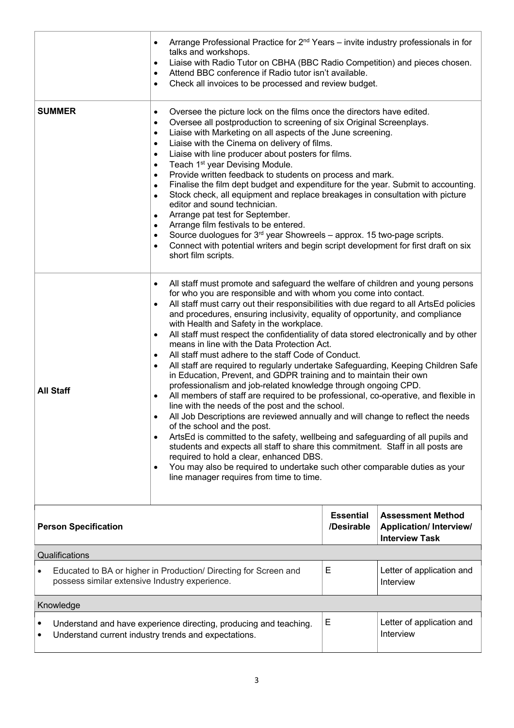|                                                                                                                                             | Arrange Professional Practice for 2 <sup>nd</sup> Years - invite industry professionals in for<br>٠<br>talks and workshops.<br>Liaise with Radio Tutor on CBHA (BBC Radio Competition) and pieces chosen.<br>٠<br>Attend BBC conference if Radio tutor isn't available.<br>٠<br>Check all invoices to be processed and review budget.<br>$\bullet$                                                                                                                                                                                                                                                                                                                                                                                                                                                                                                                                                                                                                                                                                                                                                                                                                                                                                                                                                                                                                                                                                                                                                                |                                |                                                                                    |  |  |
|---------------------------------------------------------------------------------------------------------------------------------------------|-------------------------------------------------------------------------------------------------------------------------------------------------------------------------------------------------------------------------------------------------------------------------------------------------------------------------------------------------------------------------------------------------------------------------------------------------------------------------------------------------------------------------------------------------------------------------------------------------------------------------------------------------------------------------------------------------------------------------------------------------------------------------------------------------------------------------------------------------------------------------------------------------------------------------------------------------------------------------------------------------------------------------------------------------------------------------------------------------------------------------------------------------------------------------------------------------------------------------------------------------------------------------------------------------------------------------------------------------------------------------------------------------------------------------------------------------------------------------------------------------------------------|--------------------------------|------------------------------------------------------------------------------------|--|--|
| <b>SUMMER</b>                                                                                                                               | Oversee the picture lock on the films once the directors have edited.<br>$\bullet$<br>Oversee all postproduction to screening of six Original Screenplays.<br>$\bullet$<br>Liaise with Marketing on all aspects of the June screening.<br>$\bullet$<br>Liaise with the Cinema on delivery of films.<br>$\bullet$<br>Liaise with line producer about posters for films.<br>$\bullet$<br>Teach 1 <sup>st</sup> year Devising Module.<br>$\bullet$<br>Provide written feedback to students on process and mark.<br>$\bullet$<br>Finalise the film dept budget and expenditure for the year. Submit to accounting.<br>$\bullet$<br>Stock check, all equipment and replace breakages in consultation with picture<br>$\bullet$<br>editor and sound technician.<br>Arrange pat test for September.<br>$\bullet$<br>Arrange film festivals to be entered.<br>$\bullet$<br>Source duologues for 3 <sup>rd</sup> year Showreels - approx. 15 two-page scripts.<br>٠<br>Connect with potential writers and begin script development for first draft on six<br>$\bullet$<br>short film scripts.                                                                                                                                                                                                                                                                                                                                                                                                                              |                                |                                                                                    |  |  |
| <b>All Staff</b>                                                                                                                            | All staff must promote and safeguard the welfare of children and young persons<br>$\bullet$<br>for who you are responsible and with whom you come into contact.<br>All staff must carry out their responsibilities with due regard to all ArtsEd policies<br>$\bullet$<br>and procedures, ensuring inclusivity, equality of opportunity, and compliance<br>with Health and Safety in the workplace.<br>All staff must respect the confidentiality of data stored electronically and by other<br>$\bullet$<br>means in line with the Data Protection Act.<br>All staff must adhere to the staff Code of Conduct.<br>$\bullet$<br>All staff are required to regularly undertake Safeguarding, Keeping Children Safe<br>$\bullet$<br>in Education, Prevent, and GDPR training and to maintain their own<br>professionalism and job-related knowledge through ongoing CPD.<br>All members of staff are required to be professional, co-operative, and flexible in<br>$\bullet$<br>line with the needs of the post and the school.<br>All Job Descriptions are reviewed annually and will change to reflect the needs<br>٠<br>of the school and the post.<br>ArtsEd is committed to the safety, wellbeing and safeguarding of all pupils and<br>$\bullet$<br>students and expects all staff to share this commitment. Staff in all posts are<br>required to hold a clear, enhanced DBS.<br>You may also be required to undertake such other comparable duties as your<br>٠<br>line manager requires from time to time. |                                |                                                                                    |  |  |
| <b>Person Specification</b>                                                                                                                 |                                                                                                                                                                                                                                                                                                                                                                                                                                                                                                                                                                                                                                                                                                                                                                                                                                                                                                                                                                                                                                                                                                                                                                                                                                                                                                                                                                                                                                                                                                                   | <b>Essential</b><br>/Desirable | <b>Assessment Method</b><br><b>Application/Interview/</b><br><b>Interview Task</b> |  |  |
| Qualifications                                                                                                                              |                                                                                                                                                                                                                                                                                                                                                                                                                                                                                                                                                                                                                                                                                                                                                                                                                                                                                                                                                                                                                                                                                                                                                                                                                                                                                                                                                                                                                                                                                                                   |                                |                                                                                    |  |  |
| Educated to BA or higher in Production/ Directing for Screen and<br>possess similar extensive Industry experience.                          |                                                                                                                                                                                                                                                                                                                                                                                                                                                                                                                                                                                                                                                                                                                                                                                                                                                                                                                                                                                                                                                                                                                                                                                                                                                                                                                                                                                                                                                                                                                   | Е                              | Letter of application and<br>Interview                                             |  |  |
| Knowledge                                                                                                                                   |                                                                                                                                                                                                                                                                                                                                                                                                                                                                                                                                                                                                                                                                                                                                                                                                                                                                                                                                                                                                                                                                                                                                                                                                                                                                                                                                                                                                                                                                                                                   |                                |                                                                                    |  |  |
| Е<br>Understand and have experience directing, producing and teaching.<br>Interview<br>Understand current industry trends and expectations. |                                                                                                                                                                                                                                                                                                                                                                                                                                                                                                                                                                                                                                                                                                                                                                                                                                                                                                                                                                                                                                                                                                                                                                                                                                                                                                                                                                                                                                                                                                                   |                                | Letter of application and                                                          |  |  |